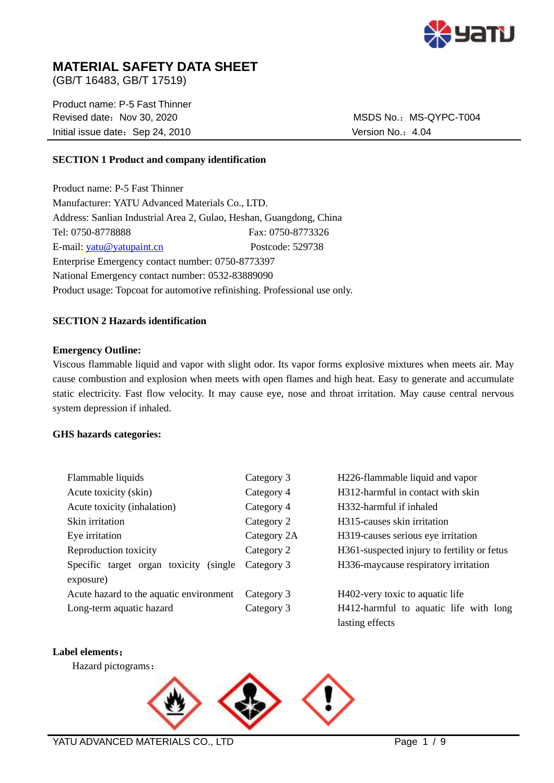

# **MATERIAL SAFETY DATA SHEET**

(GB/T 16483, GB/T 17519)

Product name: P-5 Fast Thinner Revised date: Nov 30, 2020 MSDS No.: MS-QYPC-T004 Initial issue date: Sep 24, 2010 Version No.: 4.04

## **SECTION 1 Product and company identification**

Product name: P-5 Fast Thinner Manufacturer: YATU Advanced Materials Co., LTD. Address: Sanlian Industrial Area 2, Gulao, Heshan, Guangdong, China Tel: 0750-8778888 Fax: 0750-8773326 E-mail: [yatu@yatupaint.cn](mailto:yatu@yatupaint.com) Postcode: 529738 Enterprise Emergency contact number: 0750-8773397 National Emergency contact number: 0532-83889090 Product usage: Topcoat for automotive refinishing. Professional use only.

### **SECTION 2 Hazards identification**

### **Emergency Outline:**

Viscous flammable liquid and vapor with slight odor. Its vapor forms explosive mixtures when meets air. May cause combustion and explosion when meets with open flames and high heat. Easy to generate and accumulate static electricity. Fast flow velocity. It may cause eye, nose and throat irritation. May cause central nervous system depression if inhaled.

### **GHS hazards categories:**

| Flammable liquids                          | Category 3  | H226-flammable liquid and vapor             |
|--------------------------------------------|-------------|---------------------------------------------|
| Acute toxicity (skin)                      | Category 4  | H312-harmful in contact with skin           |
| Acute toxicity (inhalation)                | Category 4  | H332-harmful if inhaled                     |
| Skin irritation                            | Category 2  | H <sub>3</sub> 15-causes skin irritation    |
| Eye irritation                             | Category 2A | H319-causes serious eye irritation          |
| Reproduction toxicity                      | Category 2  | H361-suspected injury to fertility or fetus |
| Specific target organ toxicity<br>(single) | Category 3  | H336-maycause respiratory irritation        |
| exposure)                                  |             |                                             |
| Acute hazard to the aquatic environment    | Category 3  | H402-very toxic to aquatic life             |
| Long-term aquatic hazard                   | Category 3  | H412-harmful to aquatic life with long      |
|                                            |             | lasting effects                             |

## **Label elements**:

Hazard pictograms:

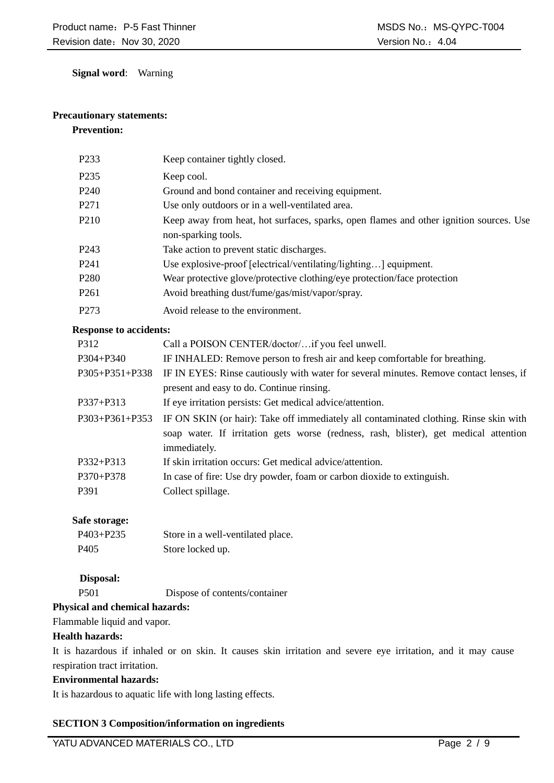**Signal word**: Warning

## **Precautionary statements:**

## **Prevention:**

| P <sub>2</sub> 33 | Keep container tightly closed.                                                                                |
|-------------------|---------------------------------------------------------------------------------------------------------------|
| P <sub>235</sub>  | Keep cool.                                                                                                    |
| P <sub>240</sub>  | Ground and bond container and receiving equipment.                                                            |
| P271              | Use only outdoors or in a well-ventilated area.                                                               |
| P <sub>210</sub>  | Keep away from heat, hot surfaces, sparks, open flames and other ignition sources. Use<br>non-sparking tools. |
| P <sub>243</sub>  | Take action to prevent static discharges.                                                                     |
| P <sub>241</sub>  | Use explosive-proof [electrical/ventilating/lighting] equipment.                                              |
| P <sub>280</sub>  | Wear protective glove/protective clothing/eye protection/face protection                                      |
| P <sub>261</sub>  | Avoid breathing dust/fume/gas/mist/vapor/spray.                                                               |
| P <sub>273</sub>  | Avoid release to the environment.                                                                             |

### **Response to accidents:**

| P312                 | Call a POISON CENTER/doctor/if you feel unwell.                                        |  |  |
|----------------------|----------------------------------------------------------------------------------------|--|--|
| P304+P340            | IF INHALED: Remove person to fresh air and keep comfortable for breathing.             |  |  |
| P305+P351+P338       | IF IN EYES: Rinse cautiously with water for several minutes. Remove contact lenses, if |  |  |
|                      | present and easy to do. Continue rinsing.                                              |  |  |
| $P337 + P313$        | If eye irritation persists: Get medical advice/attention.                              |  |  |
| $P303 + P361 + P353$ | IF ON SKIN (or hair): Take off immediately all contaminated clothing. Rinse skin with  |  |  |
|                      | soap water. If irritation gets worse (redness, rash, blister), get medical attention   |  |  |
|                      | immediately.                                                                           |  |  |
| P332+P313            | If skin irritation occurs: Get medical advice/attention.                               |  |  |
| $P370 + P378$        | In case of fire: Use dry powder, foam or carbon dioxide to extinguish.                 |  |  |
| P391                 | Collect spillage.                                                                      |  |  |
|                      |                                                                                        |  |  |

## **Safe storage:**

| $P403 + P235$    | Store in a well-ventilated place. |
|------------------|-----------------------------------|
| P <sub>405</sub> | Store locked up.                  |

## **Disposal:**

P501 Dispose of contents/container

## **Physical and chemical hazards:**

Flammable liquid and vapor.

## **Health hazards:**

It is hazardous if inhaled or on skin. It causes skin irritation and severe eye irritation, and it may cause respiration tract irritation.

## **Environmental hazards:**

It is hazardous to aquatic life with long lasting effects.

## **SECTION 3 Composition/information on ingredients**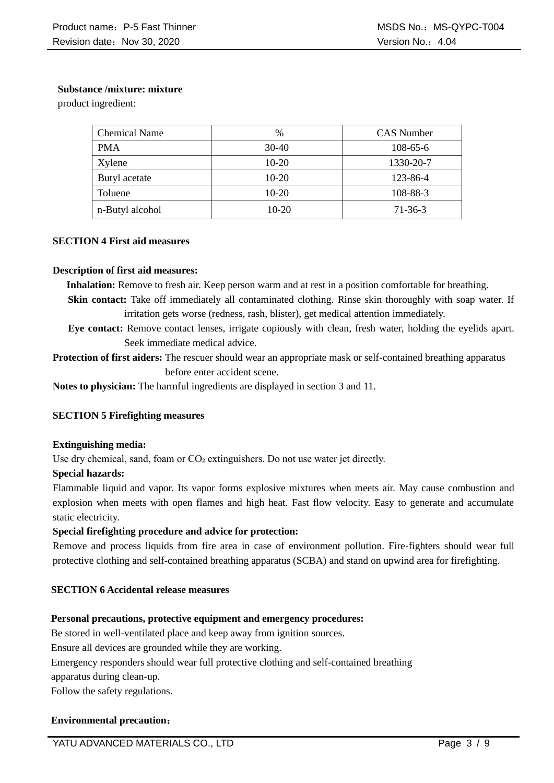### **Substance /mixture: mixture**

product ingredient:

| <b>Chemical Name</b> | $\frac{0}{0}$ | <b>CAS</b> Number |
|----------------------|---------------|-------------------|
| <b>PMA</b>           | $30-40$       | $108-65-6$        |
| Xylene               | $10-20$       | 1330-20-7         |
| Butyl acetate        | $10-20$       | 123-86-4          |
| Toluene              | $10-20$       | 108-88-3          |
| n-Butyl alcohol      | $10-20$       | $71-36-3$         |

### **SECTION 4 First aid measures**

### **Description of first aid measures:**

**Inhalation:** Remove to fresh air. Keep person warm and at rest in a position comfortable for breathing.

- **Skin contact:** Take off immediately all contaminated clothing. Rinse skin thoroughly with soap water. If irritation gets worse (redness, rash, blister), get medical attention immediately.
- **Eye contact:** Remove contact lenses, irrigate copiously with clean, fresh water, holding the eyelids apart. Seek immediate medical advice.

**Protection of first aiders:** The rescuer should wear an appropriate mask or self-contained breathing apparatus before enter accident scene.

**Notes to physician:** The harmful ingredients are displayed in section 3 and 11.

## **SECTION 5 Firefighting measures**

### **Extinguishing media:**

Use dry chemical, sand, foam or  $CO<sub>2</sub>$  extinguishers. Do not use water jet directly.

### **Special hazards:**

Flammable liquid and vapor. Its vapor forms explosive mixtures when meets air. May cause combustion and explosion when meets with open flames and high heat. Fast flow velocity. Easy to generate and accumulate static electricity.

## **Special firefighting procedure and advice for protection:**

Remove and process liquids from fire area in case of environment pollution. Fire-fighters should wear full protective clothing and self-contained breathing apparatus (SCBA) and stand on upwind area for firefighting.

## **SECTION 6 Accidental release measures**

### **Personal precautions, protective equipment and emergency procedures:**

Be stored in well-ventilated place and keep away from ignition sources.

Ensure all devices are grounded while they are working.

Emergency responders should wear full protective clothing and self-contained breathing

apparatus during clean-up.

Follow the safety regulations.

## **Environmental precaution**: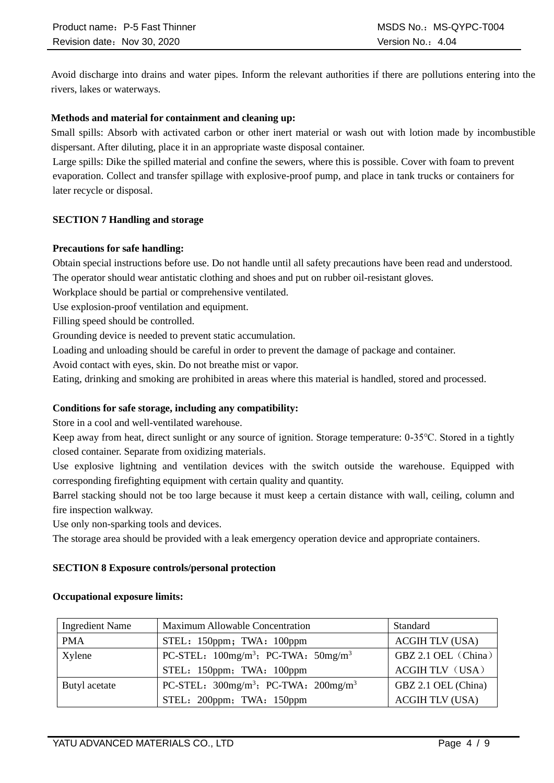Avoid discharge into drains and water pipes. Inform the relevant authorities if there are pollutions entering into the rivers, lakes or waterways.

### **Methods and material for containment and cleaning up:**

Small spills: Absorb with activated carbon or other inert material or wash out with lotion made by incombustible dispersant. After diluting, place it in an appropriate waste disposal container.

Large spills: Dike the spilled material and confine the sewers, where this is possible. Cover with foam to prevent evaporation. Collect and transfer spillage with explosive-proof pump, and place in tank trucks or containers for later recycle or disposal.

### **SECTION 7 Handling and storage**

### **Precautions for safe handling:**

Obtain special instructions before use. Do not handle until all safety precautions have been read and understood. The operator should wear antistatic clothing and shoes and put on rubber oil-resistant gloves.

Workplace should be partial or comprehensive ventilated.

Use explosion-proof ventilation and equipment.

Filling speed should be controlled.

Grounding device is needed to prevent static accumulation.

Loading and unloading should be careful in order to prevent the damage of package and container.

Avoid contact with eyes, skin. Do not breathe mist or vapor.

Eating, drinking and smoking are prohibited in areas where this material is handled, stored and processed.

### **Conditions for safe storage, including any compatibility:**

Store in a cool and well-ventilated warehouse.

Keep away from heat, direct sunlight or any source of ignition. Storage temperature: 0-35℃. Stored in a tightly closed container. Separate from oxidizing materials.

Use explosive lightning and ventilation devices with the switch outside the warehouse. Equipped with corresponding firefighting equipment with certain quality and quantity.

Barrel stacking should not be too large because it must keep a certain distance with wall, ceiling, column and fire inspection walkway.

Use only non-sparking tools and devices.

The storage area should be provided with a leak emergency operation device and appropriate containers.

### **SECTION 8 Exposure controls/personal protection**

#### Ingredient Name Maximum Allowable Concentration Standard PMA STEL: 150ppm; TWA: 100ppm | ACGIH TLV (USA)  $X$ ylene  $PC-STEL:100$ mg/m<sup>3</sup>; PC-TWA: 50mg/m<sup>3</sup> STEL: 150ppm; TWA: 100ppm GBZ 2.1 OEL (China) ACGIH TLV (USA) Butyl acetate  $\vert$  PC-STEL:  $300 \text{mg/m}^3$ ; PC-TWA:  $200 \text{mg/m}^3$ STEL: 200ppm; TWA: 150ppm GBZ 2.1 OEL (China) ACGIH TLV (USA)

## **Occupational exposure limits:**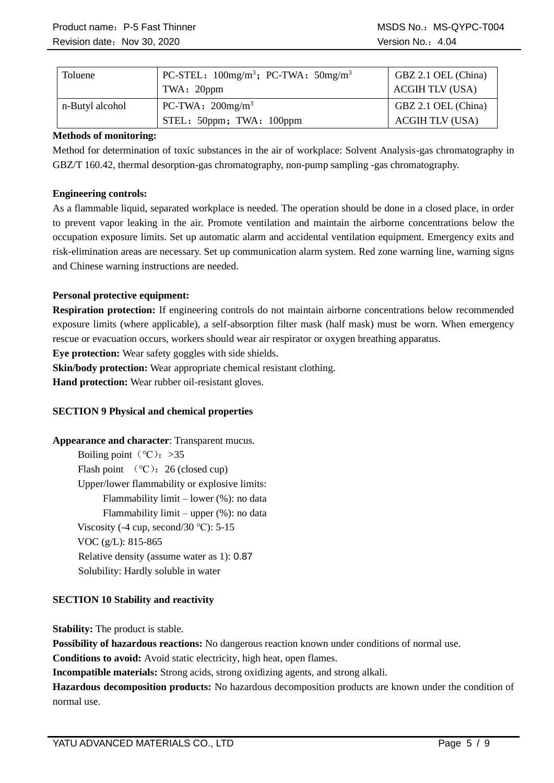| Toluene         | $PC-STEL: 100mg/m3$ ; PC-TWA: $50mg/m3$<br>TWA: 20ppm | GBZ 2.1 OEL (China)<br><b>ACGIH TLV (USA)</b> |
|-----------------|-------------------------------------------------------|-----------------------------------------------|
| n-Butyl alcohol | PC-TWA: $200$ mg/m <sup>3</sup>                       | GBZ 2.1 OEL (China)                           |
|                 | STEL: 50ppm; TWA: 100ppm                              | <b>ACGIH TLV (USA)</b>                        |

## **Methods of monitoring:**

Method for determination of toxic substances in the air of workplace: Solvent Analysis-gas chromatography in GBZ/T 160.42, thermal desorption-gas chromatography, non-pump sampling -gas chromatography.

## **Engineering controls:**

As a flammable liquid, separated workplace is needed. The operation should be done in a closed place, in order to prevent vapor leaking in the air. Promote ventilation and maintain the airborne concentrations below the occupation exposure limits. Set up automatic alarm and accidental ventilation equipment. Emergency exits and risk-elimination areas are necessary. Set up communication alarm system. Red zone warning line, warning signs and Chinese warning instructions are needed.

## **Personal protective equipment:**

**Respiration protection:** If engineering controls do not maintain airborne concentrations below recommended exposure limits (where applicable), a self-absorption filter mask (half mask) must be worn. When emergency rescue or evacuation occurs, workers should wear air respirator or oxygen breathing apparatus.

**Eye protection:** Wear safety goggles with side shields.

**Skin/body protection:** Wear appropriate chemical resistant clothing.

**Hand protection:** Wear rubber oil-resistant gloves.

## **SECTION 9 Physical and chemical properties**

**Appearance and character**: Transparent mucus. Boiling point ( $°C$ ): >35 Flash point  $(°C)$ : 26 (closed cup) Upper/lower flammability or explosive limits: Flammability limit – lower (%): no data Flammability limit – upper (%): no data Viscosity (-4 cup, second/30  $°C$ ): 5-15 VOC (g/L): 815-865 Relative density (assume water as 1): 0.87 Solubility: Hardly soluble in water

## **SECTION 10 Stability and reactivity**

**Stability:** The product is stable.

**Possibility of hazardous reactions:** No dangerous reaction known under conditions of normal use.

**Conditions to avoid:** Avoid static electricity, high heat, open flames.

**Incompatible materials:** Strong acids, strong oxidizing agents, and strong alkali.

**Hazardous decomposition products:** No hazardous decomposition products are known under the condition of normal use.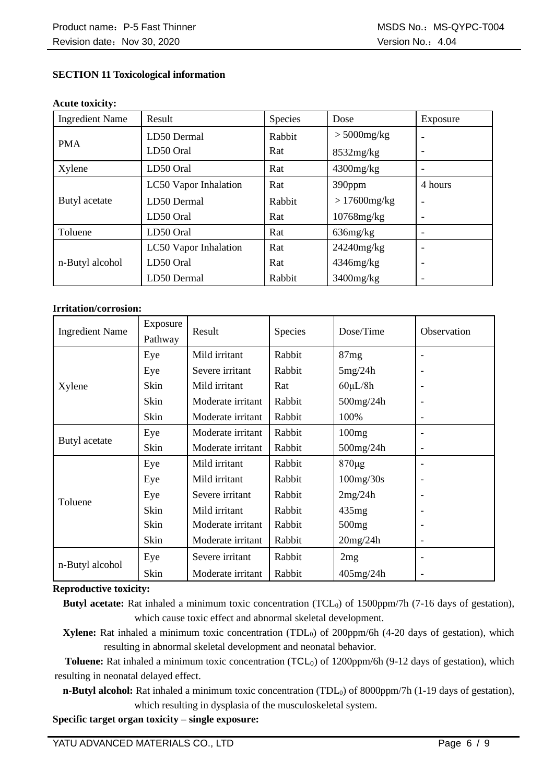## **SECTION 11 Toxicological information**

#### **Acute toxicity:**

| <b>Ingredient Name</b> | Result                | Species | Dose            | Exposure |
|------------------------|-----------------------|---------|-----------------|----------|
|                        | LD50 Dermal           | Rabbit  | $> 5000$ mg/kg  |          |
| <b>PMA</b>             | LD50 Oral             | Rat     | 8532mg/kg       |          |
| Xylene                 | LD50 Oral             | Rat     | $4300$ mg/kg    |          |
|                        | LC50 Vapor Inhalation | Rat     | 390ppm          | 4 hours  |
| Butyl acetate          | LD50 Dermal           | Rabbit  | $>17600$ mg/kg  |          |
|                        | LD50 Oral             | Rat     | $10768$ mg/kg   |          |
| Toluene                | LD50 Oral             | Rat     | $636$ mg/ $kg$  |          |
|                        | LC50 Vapor Inhalation | Rat     | 24240mg/kg      |          |
| n-Butyl alcohol        | LD50 Oral             | Rat     | $4346$ mg/kg    |          |
|                        | LD50 Dermal           | Rabbit  | $3400$ mg/ $kg$ |          |

#### **Irritation/corrosion:**

| <b>Ingredient Name</b> | Exposure<br>Pathway | Result            | <b>Species</b> | Dose/Time         | Observation              |
|------------------------|---------------------|-------------------|----------------|-------------------|--------------------------|
|                        | Eye                 | Mild irritant     | Rabbit         | 87mg              |                          |
|                        | Eye                 | Severe irritant   | Rabbit         | 5mg/24h           |                          |
| Xylene                 | Skin                | Mild irritant     | Rat            | $60\mu L/8h$      |                          |
|                        | Skin                | Moderate irritant | Rabbit         | 500mg/24h         | $\overline{\phantom{a}}$ |
|                        | Skin                | Moderate irritant | Rabbit         | 100%              | $\overline{\phantom{a}}$ |
|                        | Eye                 | Moderate irritant | Rabbit         | 100mg             |                          |
| Butyl acetate          | Skin                | Moderate irritant | Rabbit         | 500mg/24h         | $\overline{\phantom{a}}$ |
| Toluene                | Eye                 | Mild irritant     | Rabbit         | $870 \mu g$       |                          |
|                        | Eye                 | Mild irritant     | Rabbit         | 100mg/30s         | ٠                        |
|                        | Eye                 | Severe irritant   | Rabbit         | 2mg/24h           | ٠                        |
|                        | Skin                | Mild irritant     | Rabbit         | 435mg             |                          |
|                        | Skin                | Moderate irritant | Rabbit         | 500 <sub>mg</sub> |                          |
|                        | Skin                | Moderate irritant | Rabbit         | 20mg/24h          | $\overline{\phantom{a}}$ |
| n-Butyl alcohol        | Eye                 | Severe irritant   | Rabbit         | 2mg               |                          |
|                        | Skin                | Moderate irritant | Rabbit         | $405$ mg/24h      |                          |

#### **Reproductive toxicity:**

**Butyl acetate:** Rat inhaled a minimum toxic concentration (TCL<sub>0</sub>) of 1500ppm/7h (7-16 days of gestation), which cause toxic effect and abnormal skeletal development.

**Xylene:** Rat inhaled a minimum toxic concentration (TDL<sub>0</sub>) of 200ppm/6h (4-20 days of gestation), which resulting in abnormal skeletal development and neonatal behavior.

Toluene: Rat inhaled a minimum toxic concentration (TCL<sub>0</sub>) of 1200ppm/6h (9-12 days of gestation), which resulting in neonatal delayed effect.

**n-Butyl alcohol:** Rat inhaled a minimum toxic concentration (TDL<sub>0</sub>) of 8000ppm/7h (1-19 days of gestation), which resulting in dysplasia of the musculoskeletal system.

**Specific target organ toxicity – single exposure:**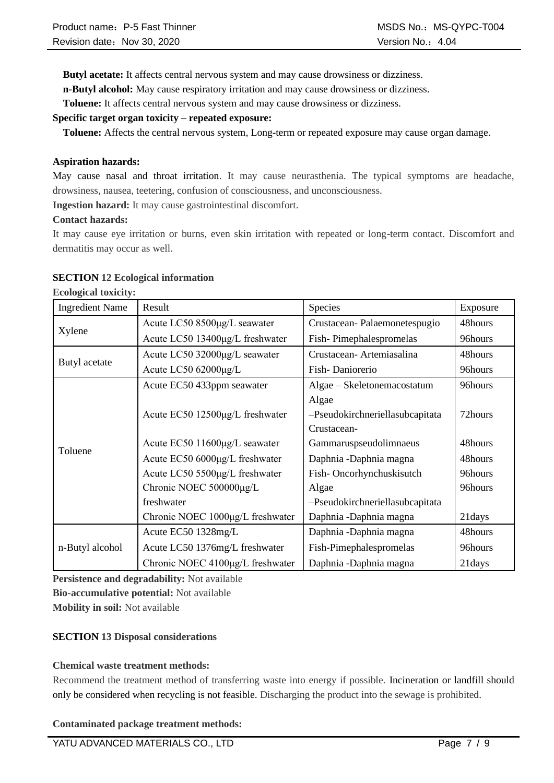**Butyl acetate:** It affects central nervous system and may cause drowsiness or dizziness.

**n-Butyl alcohol:** May cause respiratory irritation and may cause drowsiness or dizziness.

**Toluene:** It affects central nervous system and may cause drowsiness or dizziness.

### **Specific target organ toxicity – repeated exposure:**

**Toluene:** Affects the central nervous system, Long-term or repeated exposure may cause organ damage.

### **Aspiration hazards:**

May cause nasal and throat irritation. It may cause neurasthenia. The typical symptoms are headache, drowsiness, nausea, teetering, confusion of consciousness, and unconsciousness.

**Ingestion hazard:** It may cause gastrointestinal discomfort.

### **Contact hazards:**

It may cause eye irritation or burns, even skin irritation with repeated or long-term contact. Discomfort and dermatitis may occur as well.

### **SECTION 12 Ecological information**

**Ecological toxicity:**

| <b>Ingredient Name</b> | Result                           | Species                         | Exposure |
|------------------------|----------------------------------|---------------------------------|----------|
|                        | Acute LC50 8500µg/L seawater     | Crustacean-Palaemonetespugio    | 48hours  |
| Xylene                 | Acute LC50 13400μg/L freshwater  | Fish-Pimephalespromelas         | 96hours  |
|                        | Acute LC50 32000µg/L seawater    | Crustacean-Artemiasalina        | 48hours  |
| Butyl acetate          | Acute LC50 62000µg/L             | Fish-Daniorerio                 | 96hours  |
|                        | Acute EC50 433ppm seawater       | Algae – Skeletonemacostatum     | 96hours  |
|                        |                                  | Algae                           |          |
|                        | Acute EC50 12500μg/L freshwater  | -Pseudokirchneriellasubcapitata | 72hours  |
|                        |                                  | Crustacean-                     |          |
| Toluene                | Acute EC50 11600µg/L seawater    | Gammaruspseudolimnaeus          | 48hours  |
|                        | Acute EC50 6000µg/L freshwater   | Daphnia - Daphnia magna         | 48hours  |
|                        | Acute LC50 5500µg/L freshwater   | Fish-Oncorhynchuskisutch        | 96hours  |
|                        | Chronic NOEC 500000µg/L          | Algae                           | 96hours  |
|                        | freshwater                       | -Pseudokirchneriellasubcapitata |          |
|                        | Chronic NOEC 1000µg/L freshwater | Daphnia -Daphnia magna          | 21days   |
|                        | Acute EC50 1328mg/L              | Daphnia - Daphnia magna         | 48hours  |
| n-Butyl alcohol        | Acute LC50 1376mg/L freshwater   | Fish-Pimephalespromelas         | 96hours  |
|                        | Chronic NOEC 4100µg/L freshwater | Daphnia - Daphnia magna         | 21days   |

**Persistence and degradability:** Not available **Bio-accumulative potential:** Not available **Mobility in soil:** Not available

## **SECTION 13 Disposal considerations**

### **Chemical waste treatment methods:**

Recommend the treatment method of transferring waste into energy if possible. Incineration or landfill should only be considered when recycling is not feasible. Discharging the product into the sewage is prohibited.

### **Contaminated package treatment methods:**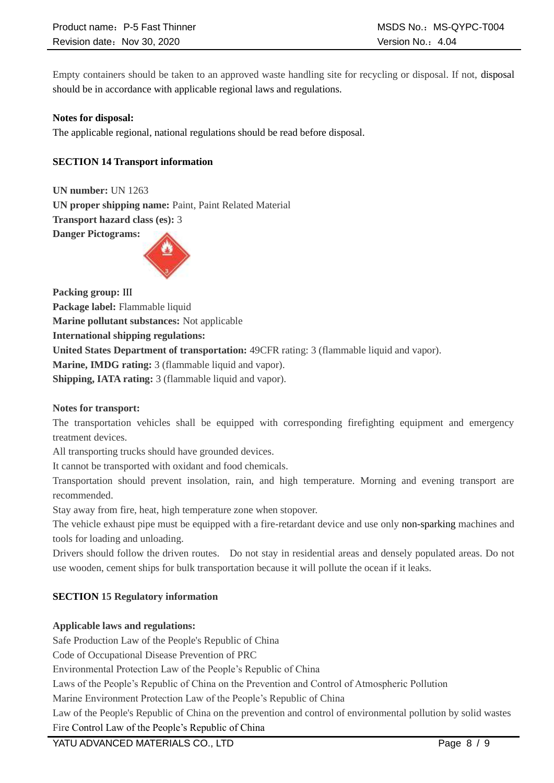Empty containers should be taken to an approved waste handling site for recycling or disposal. If not, disposal should be in accordance with applicable regional laws and regulations.

### **Notes for disposal:**

The applicable regional, national regulations should be read before disposal.

## **SECTION 14 Transport information**

**UN number:** UN 1263 **UN proper shipping name:** Paint, Paint Related Material **Transport hazard class (es):** 3 **Danger Pictograms:** 



**Packing group:** Ⅲ **Package label:** Flammable liquid **Marine pollutant substances:** Not applicable **International shipping regulations: United States Department of transportation:** 49CFR rating: 3 (flammable liquid and vapor). **Marine, IMDG rating:** 3 (flammable liquid and vapor). **Shipping, IATA rating:** 3 (flammable liquid and vapor).

### **Notes for transport:**

The transportation vehicles shall be equipped with corresponding firefighting equipment and emergency treatment devices.

All transporting trucks should have grounded devices.

It cannot be transported with oxidant and food chemicals.

Transportation should prevent insolation, rain, and high temperature. Morning and evening transport are recommended.

Stay away from fire, heat, high temperature zone when stopover.

The vehicle exhaust pipe must be equipped with a fire-retardant device and use only non-sparking machines and tools for loading and unloading.

Drivers should follow the driven routes. Do not stay in residential areas and densely populated areas. Do not use wooden, cement ships for bulk transportation because it will pollute the ocean if it leaks.

## **SECTION 15 Regulatory information**

## **Applicable laws and regulations:**

Safe Production Law of the People's Republic of China

Code of Occupational Disease Prevention of PRC

Environmental Protection Law of the People's Republic of China

Laws of the People's Republic of China on the Prevention and Control of Atmospheric Pollution

Marine Environment Protection Law of the People's Republic of China

Law of the People's Republic of China on the prevention and control of environmental pollution by solid wastes Fire Control Law of the People's Republic of China